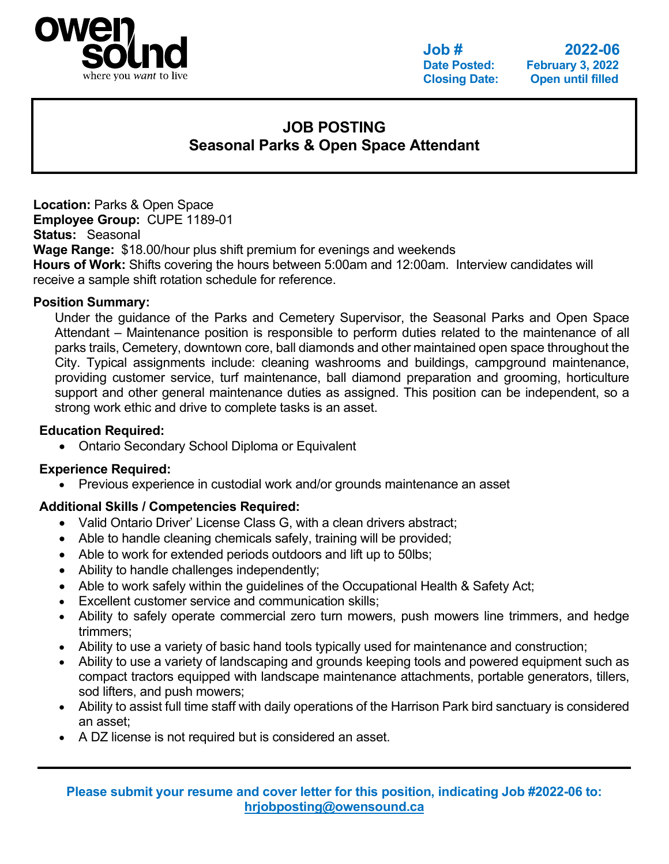

**Job # 2022-06 February 3, 2022 Closing Date: Open until filled**

# **JOB POSTING Seasonal Parks & Open Space Attendant**

**Location:** Parks & Open Space **Employee Group:** CUPE 1189-01 **Status:** Seasonal **Wage Range:** \$18.00/hour plus shift premium for evenings and weekends **Hours of Work:** Shifts covering the hours between 5:00am and 12:00am. Interview candidates will receive a sample shift rotation schedule for reference.

# **Position Summary:**

Under the guidance of the Parks and Cemetery Supervisor, the Seasonal Parks and Open Space Attendant – Maintenance position is responsible to perform duties related to the maintenance of all parks trails, Cemetery, downtown core, ball diamonds and other maintained open space throughout the City. Typical assignments include: cleaning washrooms and buildings, campground maintenance, providing customer service, turf maintenance, ball diamond preparation and grooming, horticulture support and other general maintenance duties as assigned. This position can be independent, so a strong work ethic and drive to complete tasks is an asset.

### **Education Required:**

• Ontario Secondary School Diploma or Equivalent

# **Experience Required:**

• Previous experience in custodial work and/or grounds maintenance an asset

# **Additional Skills / Competencies Required:**

- Valid Ontario Driver' License Class G, with a clean drivers abstract;
- Able to handle cleaning chemicals safely, training will be provided;
- Able to work for extended periods outdoors and lift up to 50lbs;
- Ability to handle challenges independently;
- Able to work safely within the guidelines of the Occupational Health & Safety Act;
- Excellent customer service and communication skills:
- Ability to safely operate commercial zero turn mowers, push mowers line trimmers, and hedge trimmers;
- Ability to use a variety of basic hand tools typically used for maintenance and construction;
- Ability to use a variety of landscaping and grounds keeping tools and powered equipment such as compact tractors equipped with landscape maintenance attachments, portable generators, tillers, sod lifters, and push mowers;
- Ability to assist full time staff with daily operations of the Harrison Park bird sanctuary is considered an asset;
- A DZ license is not required but is considered an asset.